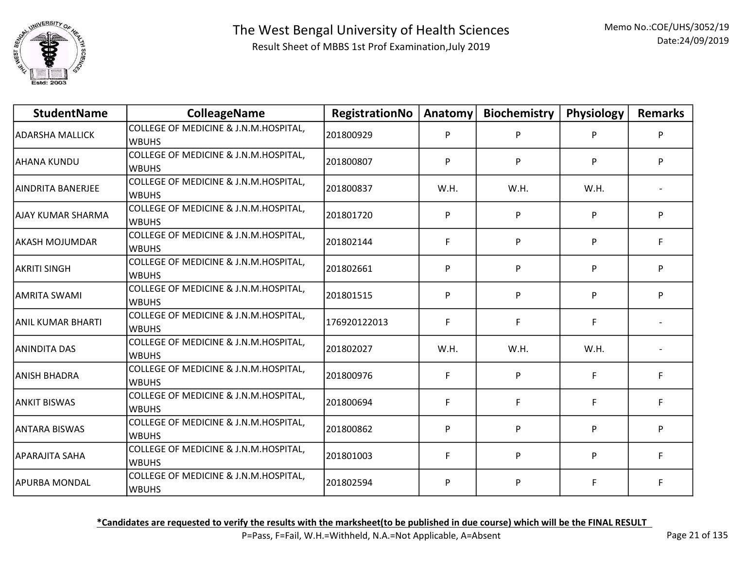

| <b>StudentName</b>   | <b>ColleageName</b>                                   | RegistrationNo | Anatomy | <b>Biochemistry</b> | Physiology | <b>Remarks</b> |
|----------------------|-------------------------------------------------------|----------------|---------|---------------------|------------|----------------|
| ADARSHA MALLICK      | COLLEGE OF MEDICINE & J.N.M.HOSPITAL,<br><b>WBUHS</b> | 201800929      | P       | P                   | P          | P              |
| <b>AHANA KUNDU</b>   | COLLEGE OF MEDICINE & J.N.M.HOSPITAL,<br><b>WBUHS</b> | 201800807      | P       | P                   | P          | P              |
| laindrita Banerjee   | COLLEGE OF MEDICINE & J.N.M.HOSPITAL,<br><b>WBUHS</b> | 201800837      | W.H.    | W.H.                | W.H.       |                |
| JAJAY KUMAR SHARMA   | COLLEGE OF MEDICINE & J.N.M.HOSPITAL,<br><b>WBUHS</b> | 201801720      | P       | P                   | P          | P              |
| lakash mojumdar      | COLLEGE OF MEDICINE & J.N.M.HOSPITAL,<br><b>WBUHS</b> | 201802144      | F       | P                   | P          | F              |
| AKRITI SINGH         | COLLEGE OF MEDICINE & J.N.M.HOSPITAL,<br><b>WBUHS</b> | 201802661      | P       | P                   | P          | P              |
| AMRITA SWAMI         | COLLEGE OF MEDICINE & J.N.M.HOSPITAL,<br><b>WBUHS</b> | 201801515      | P       | P                   | P          | P              |
| ANIL KUMAR BHARTI    | COLLEGE OF MEDICINE & J.N.M.HOSPITAL,<br><b>WBUHS</b> | 176920122013   | F       | F                   | F          |                |
| ANINDITA DAS         | COLLEGE OF MEDICINE & J.N.M.HOSPITAL,<br><b>WBUHS</b> | 201802027      | W.H.    | W.H.                | W.H.       |                |
| ANISH BHADRA         | COLLEGE OF MEDICINE & J.N.M.HOSPITAL,<br><b>WBUHS</b> | 201800976      | F       | P                   | F          | F              |
| ANKIT BISWAS         | COLLEGE OF MEDICINE & J.N.M.HOSPITAL,<br><b>WBUHS</b> | 201800694      | F       | F                   | F          | F              |
| <b>ANTARA BISWAS</b> | COLLEGE OF MEDICINE & J.N.M.HOSPITAL,<br><b>WBUHS</b> | 201800862      | P       | P                   | P          | P              |
| APARAJITA SAHA       | COLLEGE OF MEDICINE & J.N.M.HOSPITAL,<br><b>WBUHS</b> | 201801003      | F       | P                   | P          | F              |
| <b>APURBA MONDAL</b> | COLLEGE OF MEDICINE & J.N.M.HOSPITAL,<br><b>WBUHS</b> | 201802594      | P       | P                   |            | F              |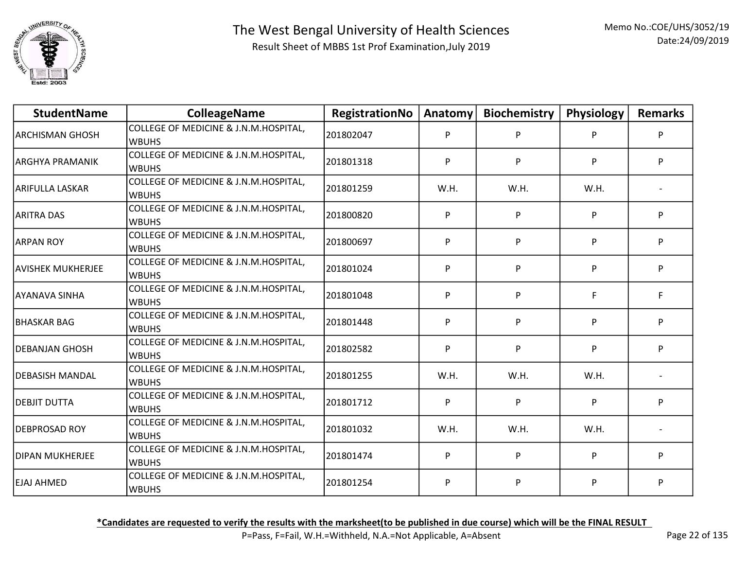

| <b>StudentName</b>       | <b>ColleageName</b>                                   | RegistrationNo | Anatomy | <b>Biochemistry</b> | Physiology | <b>Remarks</b> |
|--------------------------|-------------------------------------------------------|----------------|---------|---------------------|------------|----------------|
| <b>ARCHISMAN GHOSH</b>   | COLLEGE OF MEDICINE & J.N.M.HOSPITAL,<br><b>WBUHS</b> | 201802047      | P       | P                   | P          | P              |
| ARGHYA PRAMANIK          | COLLEGE OF MEDICINE & J.N.M.HOSPITAL,<br><b>WBUHS</b> | 201801318      | P       | P                   | P          | P              |
| larifulla laskar         | COLLEGE OF MEDICINE & J.N.M.HOSPITAL,<br><b>WBUHS</b> | 201801259      | W.H.    | W.H.                | W.H.       |                |
| ARITRA DAS               | COLLEGE OF MEDICINE & J.N.M.HOSPITAL,<br><b>WBUHS</b> | 201800820      | P       | P                   | P          | P              |
| ARPAN ROY                | COLLEGE OF MEDICINE & J.N.M.HOSPITAL,<br><b>WBUHS</b> | 201800697      | P       | P                   | P          | P              |
| <b>AVISHEK MUKHERJEE</b> | COLLEGE OF MEDICINE & J.N.M.HOSPITAL,<br><b>WBUHS</b> | 201801024      | P       | P                   | P          | P              |
| AYANAVA SINHA            | COLLEGE OF MEDICINE & J.N.M.HOSPITAL,<br><b>WBUHS</b> | 201801048      | P       | P                   | F.         | F.             |
| IBHASKAR BAG             | COLLEGE OF MEDICINE & J.N.M.HOSPITAL,<br><b>WBUHS</b> | 201801448      | P       | P                   | P          | P              |
| DEBANJAN GHOSH           | COLLEGE OF MEDICINE & J.N.M.HOSPITAL,<br><b>WBUHS</b> | 201802582      | P       | P                   | P          | P              |
| DEBASISH MANDAL          | COLLEGE OF MEDICINE & J.N.M.HOSPITAL,<br><b>WBUHS</b> | 201801255      | W.H.    | W.H.                | W.H.       |                |
| DEBJIT DUTTA             | COLLEGE OF MEDICINE & J.N.M.HOSPITAL,<br><b>WBUHS</b> | 201801712      | P       | P                   | P          | P              |
| DEBPROSAD ROY            | COLLEGE OF MEDICINE & J.N.M.HOSPITAL,<br><b>WBUHS</b> | 201801032      | W.H.    | W.H.                | W.H.       |                |
| DIPAN MUKHERJEE          | COLLEGE OF MEDICINE & J.N.M.HOSPITAL,<br><b>WBUHS</b> | 201801474      | P       | P                   | P          | P              |
| <b>EJAJ AHMED</b>        | COLLEGE OF MEDICINE & J.N.M.HOSPITAL,<br><b>WBUHS</b> | 201801254      | P       | P                   | P          | P              |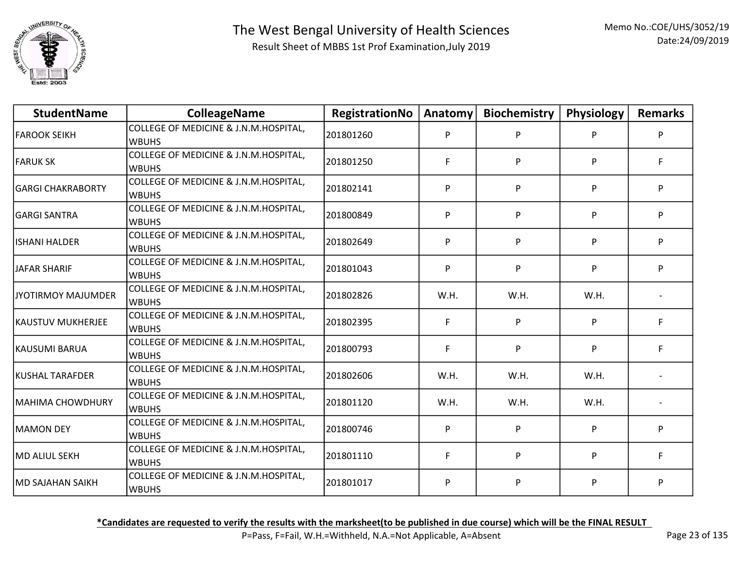

| <b>StudentName</b>       | <b>ColleageName</b>                                   | RegistrationNo | Anatomy | <b>Biochemistry</b> | Physiology | <b>Remarks</b> |
|--------------------------|-------------------------------------------------------|----------------|---------|---------------------|------------|----------------|
| FAROOK SEIKH             | COLLEGE OF MEDICINE & J.N.M.HOSPITAL,<br><b>WBUHS</b> | 201801260      | P       | P                   | P          | P              |
| <b>FARUK SK</b>          | COLLEGE OF MEDICINE & J.N.M.HOSPITAL,<br><b>WBUHS</b> | 201801250      | F.      | P                   | P          | F.             |
| lGARGI CHAKRABORTY       | COLLEGE OF MEDICINE & J.N.M.HOSPITAL,<br><b>WBUHS</b> | 201802141      | P       | P                   | P.         | P              |
| GARGI SANTRA             | COLLEGE OF MEDICINE & J.N.M.HOSPITAL,<br><b>WBUHS</b> | 201800849      | P       | P                   | P          | P              |
| lishani halder           | COLLEGE OF MEDICINE & J.N.M.HOSPITAL,<br><b>WBUHS</b> | 201802649      | P       | P                   | P.         | P              |
| JAFAR SHARIF             | COLLEGE OF MEDICINE & J.N.M.HOSPITAL,<br><b>WBUHS</b> | 201801043      | P       | P                   | P          | P              |
| JYOTIRMOY MAJUMDER       | COLLEGE OF MEDICINE & J.N.M.HOSPITAL,<br><b>WBUHS</b> | 201802826      | W.H.    | W.H.                | W.H.       |                |
| <b>KAUSTUV MUKHERJEE</b> | COLLEGE OF MEDICINE & J.N.M.HOSPITAL,<br><b>WBUHS</b> | 201802395      | F       | P                   | P          | F              |
| KAUSUMI BARUA            | COLLEGE OF MEDICINE & J.N.M.HOSPITAL,<br><b>WBUHS</b> | 201800793      | F       | P                   | P          | F              |
| KUSHAL TARAFDER          | COLLEGE OF MEDICINE & J.N.M.HOSPITAL,<br><b>WBUHS</b> | 201802606      | W.H.    | W.H.                | W.H.       |                |
| MAHIMA CHOWDHURY         | COLLEGE OF MEDICINE & J.N.M.HOSPITAL,<br><b>WBUHS</b> | 201801120      | W.H.    | W.H.                | W.H.       |                |
| MAMON DEY                | COLLEGE OF MEDICINE & J.N.M.HOSPITAL,<br><b>WBUHS</b> | 201800746      | P       | P                   | P          | P              |
| MD ALIUL SEKH            | COLLEGE OF MEDICINE & J.N.M.HOSPITAL,<br><b>WBUHS</b> | 201801110      | F       | P                   | P          | F              |
| <b>MD SAJAHAN SAIKH</b>  | COLLEGE OF MEDICINE & J.N.M.HOSPITAL,<br><b>WBUHS</b> | 201801017      | P       | P                   | P          | P              |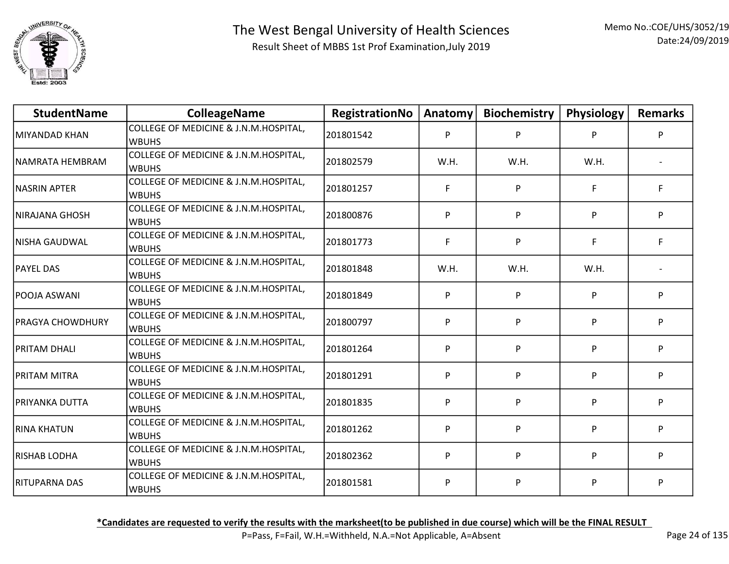

| <b>StudentName</b>      | <b>ColleageName</b>                                   | RegistrationNo | Anatomy | <b>Biochemistry</b> | Physiology | <b>Remarks</b> |
|-------------------------|-------------------------------------------------------|----------------|---------|---------------------|------------|----------------|
| MIYANDAD KHAN           | COLLEGE OF MEDICINE & J.N.M.HOSPITAL,<br><b>WBUHS</b> | 201801542      | P       | P                   | P          | P              |
| INAMRATA HEMBRAM        | COLLEGE OF MEDICINE & J.N.M.HOSPITAL,<br><b>WBUHS</b> | 201802579      | W.H.    | W.H.                | W.H.       |                |
| NASRIN APTER            | COLLEGE OF MEDICINE & J.N.M.HOSPITAL,<br><b>WBUHS</b> | 201801257      | F       | P                   | F          | F              |
| NIRAJANA GHOSH          | COLLEGE OF MEDICINE & J.N.M.HOSPITAL,<br><b>WBUHS</b> | 201800876      | P       | P                   | P          | P              |
| lNISHA GAUDWAL          | COLLEGE OF MEDICINE & J.N.M.HOSPITAL,<br><b>WBUHS</b> | 201801773      | F       | P                   | F          | F              |
| <b>PAYEL DAS</b>        | COLLEGE OF MEDICINE & J.N.M.HOSPITAL,<br><b>WBUHS</b> | 201801848      | W.H.    | W.H.                | W.H.       |                |
| POOJA ASWANI            | COLLEGE OF MEDICINE & J.N.M.HOSPITAL,<br><b>WBUHS</b> | 201801849      | P       | P                   | P          | P              |
| <b>PRAGYA CHOWDHURY</b> | COLLEGE OF MEDICINE & J.N.M.HOSPITAL,<br><b>WBUHS</b> | 201800797      | P       | P                   | P          | P              |
| PRITAM DHALI            | COLLEGE OF MEDICINE & J.N.M.HOSPITAL,<br><b>WBUHS</b> | 201801264      | P       | P                   | P          | P              |
| IPRITAM MITRA           | COLLEGE OF MEDICINE & J.N.M.HOSPITAL,<br><b>WBUHS</b> | 201801291      | P       | P                   | P          | P              |
| PRIYANKA DUTTA          | COLLEGE OF MEDICINE & J.N.M.HOSPITAL,<br><b>WBUHS</b> | 201801835      | P       | P                   | P          | P              |
| RINA KHATUN             | COLLEGE OF MEDICINE & J.N.M.HOSPITAL,<br><b>WBUHS</b> | 201801262      | P       | P                   | P          | P              |
| RISHAB LODHA            | COLLEGE OF MEDICINE & J.N.M.HOSPITAL,<br><b>WBUHS</b> | 201802362      | P       | P                   | P          | P              |
| RITUPARNA DAS           | COLLEGE OF MEDICINE & J.N.M.HOSPITAL,<br><b>WBUHS</b> | 201801581      | P       | P                   | P          | P              |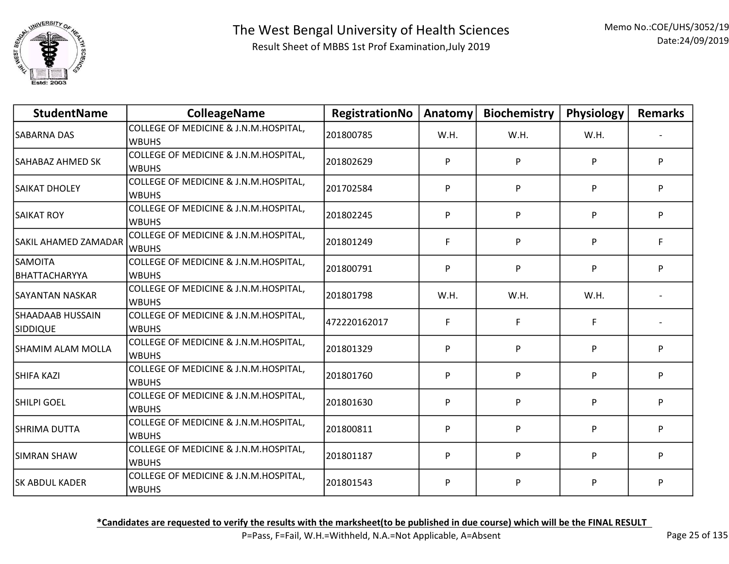

| <b>StudentName</b>                  | <b>ColleageName</b>                                   | RegistrationNo | Anatomy | <b>Biochemistry</b> | Physiology | <b>Remarks</b> |
|-------------------------------------|-------------------------------------------------------|----------------|---------|---------------------|------------|----------------|
| <b>SABARNA DAS</b>                  | COLLEGE OF MEDICINE & J.N.M.HOSPITAL,<br><b>WBUHS</b> | 201800785      | W.H.    | W.H.                | W.H.       |                |
| SAHABAZ AHMED SK                    | COLLEGE OF MEDICINE & J.N.M.HOSPITAL,<br><b>WBUHS</b> | 201802629      | P       | P                   | P          | P              |
| SAIKAT DHOLEY                       | COLLEGE OF MEDICINE & J.N.M.HOSPITAL,<br><b>WBUHS</b> | 201702584      | P       | P                   | P          | P              |
| <b>SAIKAT ROY</b>                   | COLLEGE OF MEDICINE & J.N.M.HOSPITAL,<br><b>WBUHS</b> | 201802245      | P       | P                   | P          | P              |
| SAKIL AHAMED ZAMADAR                | COLLEGE OF MEDICINE & J.N.M.HOSPITAL,<br><b>WBUHS</b> | 201801249      | F       | P                   | P          | F              |
| <b>SAMOITA</b><br>BHATTACHARYYA     | COLLEGE OF MEDICINE & J.N.M.HOSPITAL,<br><b>WBUHS</b> | 201800791      | P       | P                   | P          | P              |
| SAYANTAN NASKAR                     | COLLEGE OF MEDICINE & J.N.M.HOSPITAL,<br><b>WBUHS</b> | 201801798      | W.H.    | W.H.                | W.H.       |                |
| SHAADAAB HUSSAIN<br><b>SIDDIQUE</b> | COLLEGE OF MEDICINE & J.N.M.HOSPITAL,<br><b>WBUHS</b> | 472220162017   | F.      | F                   | F          |                |
| SHAMIM ALAM MOLLA                   | COLLEGE OF MEDICINE & J.N.M.HOSPITAL,<br><b>WBUHS</b> | 201801329      | P       | P                   | P          | P              |
| SHIFA KAZI                          | COLLEGE OF MEDICINE & J.N.M.HOSPITAL,<br><b>WBUHS</b> | 201801760      | P       | P                   | P          | P              |
| SHILPI GOEL                         | COLLEGE OF MEDICINE & J.N.M.HOSPITAL,<br><b>WBUHS</b> | 201801630      | P       | P                   | P          | P              |
| ISHRIMA DUTTA                       | COLLEGE OF MEDICINE & J.N.M.HOSPITAL,<br><b>WBUHS</b> | 201800811      | P       | P                   | P          | P              |
| <b>SIMRAN SHAW</b>                  | COLLEGE OF MEDICINE & J.N.M.HOSPITAL,<br><b>WBUHS</b> | 201801187      | P       | P                   | P          | P              |
| <b>SK ABDUL KADER</b>               | COLLEGE OF MEDICINE & J.N.M.HOSPITAL,<br><b>WBUHS</b> | 201801543      | P       | P                   | P          | P              |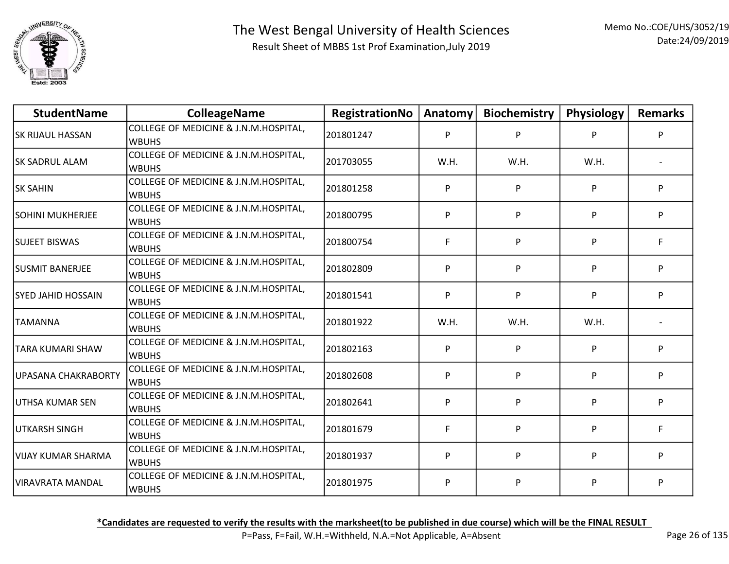

| <b>StudentName</b>        | <b>ColleageName</b>                                   | RegistrationNo | Anatomy | <b>Biochemistry</b> | Physiology | <b>Remarks</b> |
|---------------------------|-------------------------------------------------------|----------------|---------|---------------------|------------|----------------|
| <b>SK RIJAUL HASSAN</b>   | COLLEGE OF MEDICINE & J.N.M.HOSPITAL,<br><b>WBUHS</b> | 201801247      | P       | P                   | P          | P              |
| <b>SK SADRUL ALAM</b>     | COLLEGE OF MEDICINE & J.N.M.HOSPITAL,<br><b>WBUHS</b> | 201703055      | W.H.    | W.H.                | W.H.       |                |
| <b>SK SAHIN</b>           | COLLEGE OF MEDICINE & J.N.M.HOSPITAL,<br><b>WBUHS</b> | 201801258      | P       | P                   | P          | P              |
| <b>SOHINI MUKHERJEE</b>   | COLLEGE OF MEDICINE & J.N.M.HOSPITAL,<br><b>WBUHS</b> | 201800795      | P       | P                   | P          | P              |
| <b>SUJEET BISWAS</b>      | COLLEGE OF MEDICINE & J.N.M.HOSPITAL,<br><b>WBUHS</b> | 201800754      | F       | P                   | P          | F              |
| <b>SUSMIT BANERJEE</b>    | COLLEGE OF MEDICINE & J.N.M.HOSPITAL,<br><b>WBUHS</b> | 201802809      | P       | P                   | P          | P              |
| <b>SYED JAHID HOSSAIN</b> | COLLEGE OF MEDICINE & J.N.M.HOSPITAL,<br><b>WBUHS</b> | 201801541      | P       | P                   | P          | P              |
| TAMANNA                   | COLLEGE OF MEDICINE & J.N.M.HOSPITAL,<br><b>WBUHS</b> | 201801922      | W.H.    | W.H.                | W.H.       |                |
| TARA KUMARI SHAW          | COLLEGE OF MEDICINE & J.N.M.HOSPITAL,<br><b>WBUHS</b> | 201802163      | P       | P                   | P          | P              |
| UPASANA CHAKRABORTY       | COLLEGE OF MEDICINE & J.N.M.HOSPITAL,<br><b>WBUHS</b> | 201802608      | P       | P                   | P          | P              |
| UTHSA KUMAR SEN           | COLLEGE OF MEDICINE & J.N.M.HOSPITAL,<br><b>WBUHS</b> | 201802641      | P       | P                   | P          | P              |
| UTKARSH SINGH             | COLLEGE OF MEDICINE & J.N.M.HOSPITAL,<br><b>WBUHS</b> | 201801679      | F       | P                   | P          | F              |
| lvijay kumar Sharma       | COLLEGE OF MEDICINE & J.N.M.HOSPITAL,<br><b>WBUHS</b> | 201801937      | P       | P                   | P          | P              |
| VIRAVRATA MANDAL          | COLLEGE OF MEDICINE & J.N.M.HOSPITAL,<br><b>WBUHS</b> | 201801975      | P       | P                   | P          | P              |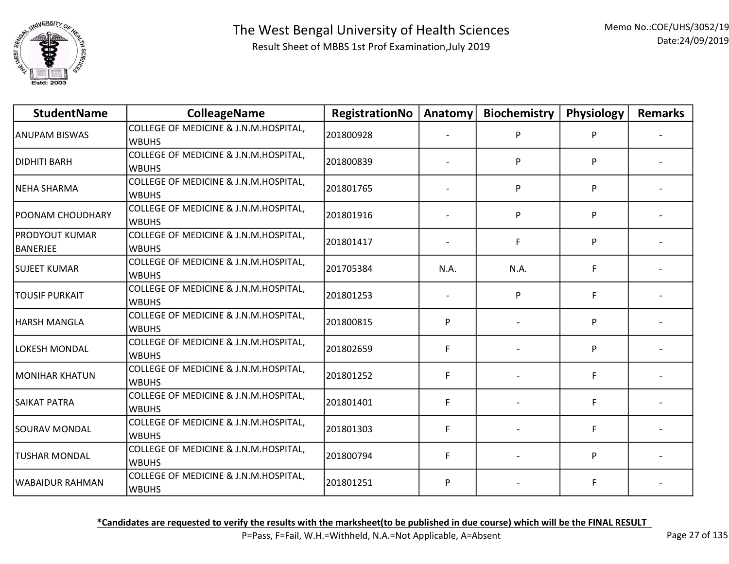

| <b>StudentName</b>         | <b>ColleageName</b>                                   | RegistrationNo | Anatomy | <b>Biochemistry</b> | Physiology | <b>Remarks</b> |
|----------------------------|-------------------------------------------------------|----------------|---------|---------------------|------------|----------------|
| ANUPAM BISWAS              | COLLEGE OF MEDICINE & J.N.M.HOSPITAL,<br><b>WBUHS</b> | 201800928      |         | P                   |            |                |
| DIDHITI BARH               | COLLEGE OF MEDICINE & J.N.M.HOSPITAL,<br><b>WBUHS</b> | 201800839      |         | P                   | P          |                |
| NEHA SHARMA                | COLLEGE OF MEDICINE & J.N.M.HOSPITAL,<br><b>WBUHS</b> | 201801765      |         | P                   | P          |                |
| <b>POONAM CHOUDHARY</b>    | COLLEGE OF MEDICINE & J.N.M.HOSPITAL,<br><b>WBUHS</b> | 201801916      |         | P                   | P          |                |
| PRODYOUT KUMAR<br>BANERJEE | COLLEGE OF MEDICINE & J.N.M.HOSPITAL,<br><b>WBUHS</b> | 201801417      |         | F                   | P          |                |
| <b>SUJEET KUMAR</b>        | COLLEGE OF MEDICINE & J.N.M.HOSPITAL,<br><b>WBUHS</b> | 201705384      | N.A.    | N.A.                | F.         |                |
| TOUSIF PURKAIT             | COLLEGE OF MEDICINE & J.N.M.HOSPITAL,<br><b>WBUHS</b> | 201801253      |         | P                   | F.         |                |
| HARSH MANGLA               | COLLEGE OF MEDICINE & J.N.M.HOSPITAL,<br><b>WBUHS</b> | 201800815      | P       |                     | P          |                |
| LOKESH MONDAL              | COLLEGE OF MEDICINE & J.N.M.HOSPITAL,<br><b>WBUHS</b> | 201802659      | F       |                     | P          |                |
| MONIHAR KHATUN             | COLLEGE OF MEDICINE & J.N.M.HOSPITAL,<br><b>WBUHS</b> | 201801252      | F       |                     | F.         |                |
| SAIKAT PATRA               | COLLEGE OF MEDICINE & J.N.M.HOSPITAL,<br><b>WBUHS</b> | 201801401      | F       |                     | F          |                |
| SOURAV MONDAL              | COLLEGE OF MEDICINE & J.N.M.HOSPITAL,<br><b>WBUHS</b> | 201801303      | F       |                     | F          |                |
| <b>TUSHAR MONDAL</b>       | COLLEGE OF MEDICINE & J.N.M.HOSPITAL,<br><b>WBUHS</b> | 201800794      | F       |                     | P          |                |
| WABAIDUR RAHMAN            | COLLEGE OF MEDICINE & J.N.M.HOSPITAL,<br><b>WBUHS</b> | 201801251      | P       |                     | F          |                |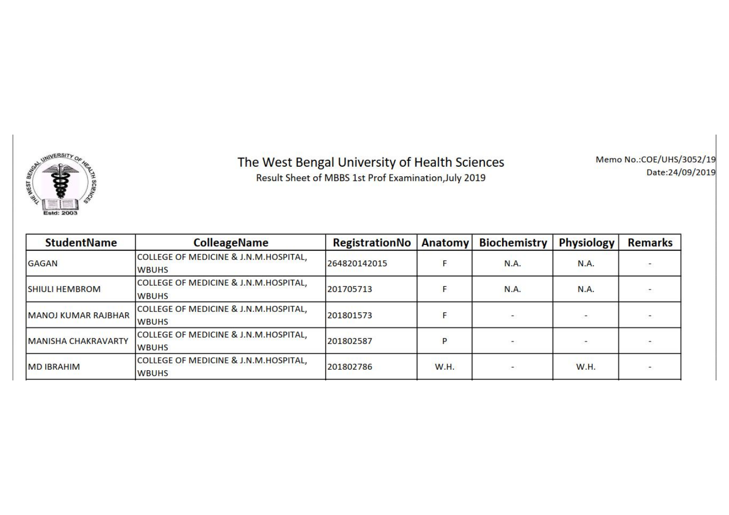

## The West Bengal University of Health Sciences

Result Sheet of MBBS 1st Prof Examination, July 2019

Memo No.:COE/UHS/3052/19 Date:24/09/2019

| <b>StudentName</b>         | <b>ColleageName</b>                                   | <b>RegistrationNo</b> | <b>Anatomy</b> | <b>Biochemistry</b>      | <b>Physiology</b>        | <b>Remarks</b> |
|----------------------------|-------------------------------------------------------|-----------------------|----------------|--------------------------|--------------------------|----------------|
| <b>GAGAN</b>               | COLLEGE OF MEDICINE & J.N.M.HOSPITAL,<br><b>WBUHS</b> | 264820142015          |                | <b>N.A.</b>              | N.A.                     |                |
| <b>SHIULI HEMBROM</b>      | COLLEGE OF MEDICINE & J.N.M.HOSPITAL,<br><b>WBUHS</b> | 201705713             |                | <b>N.A.</b>              | <b>N.A.</b>              |                |
| MANOJ KUMAR RAJBHAR        | COLLEGE OF MEDICINE & J.N.M.HOSPITAL,<br><b>WBUHS</b> | 201801573             |                | -                        | $\overline{\phantom{a}}$ |                |
| <b>MANISHA CHAKRAVARTY</b> | COLLEGE OF MEDICINE & J.N.M.HOSPITAL,<br><b>WBUHS</b> | 201802587             |                |                          |                          |                |
| <b>MD IBRAHIM</b>          | COLLEGE OF MEDICINE & J.N.M.HOSPITAL,<br><b>WBUHS</b> | 201802786             | <b>W.H.</b>    | $\overline{\phantom{a}}$ | <b>W.H.</b>              |                |